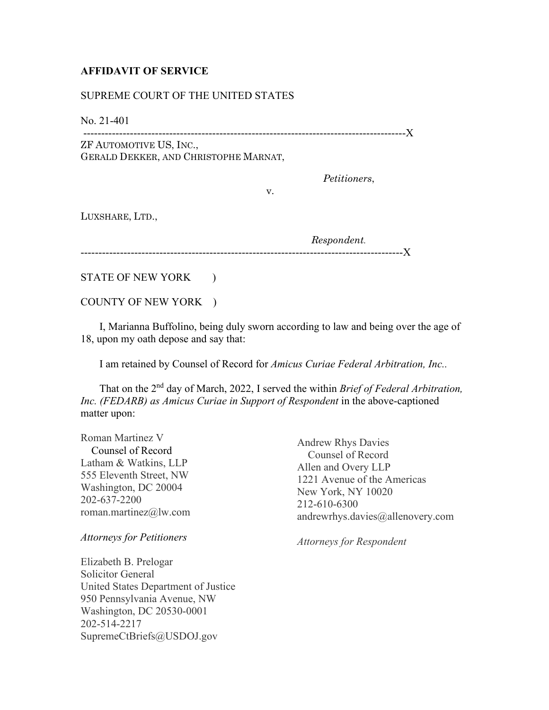## **AFFIDAVIT OF SERVICE**

## SUPREME COURT OF THE UNITED STATES

No. 21-401

------------------------------------------------------------------------------------------X ZF AUTOMOTIVE US, INC.,

GERALD DEKKER, AND CHRISTOPHE MARNAT,

*Petitioners*,

LUXSHARE, LTD.,

*Respondent.* ------------------------------------------------------------------------------------------X

STATE OF NEW YORK )

COUNTY OF NEW YORK )

 I, Marianna Buffolino, being duly sworn according to law and being over the age of 18, upon my oath depose and say that:

v.

I am retained by Counsel of Record for *Amicus Curiae Federal Arbitration, Inc..*

 That on the 2nd day of March, 2022, I served the within *Brief of Federal Arbitration, Inc. (FEDARB) as Amicus Curiae in Support of Respondent* in the above-captioned matter upon:

Roman Martinez V Counsel of Record Latham & Watkins, LLP 555 Eleventh Street, NW Washington, DC 20004 202-637-2200 roman.martinez@lw.com

## *Attorneys for Petitioners*

Elizabeth B. Prelogar Solicitor General United States Department of Justice 950 Pennsylvania Avenue, NW Washington, DC 20530-0001 202-514-2217 SupremeCtBriefs@USDOJ.gov

Andrew Rhys Davies Counsel of Record Allen and Overy LLP 1221 Avenue of the Americas New York, NY 10020 212-610-6300 andrewrhys.davies@allenovery.com

*Attorneys for Respondent*